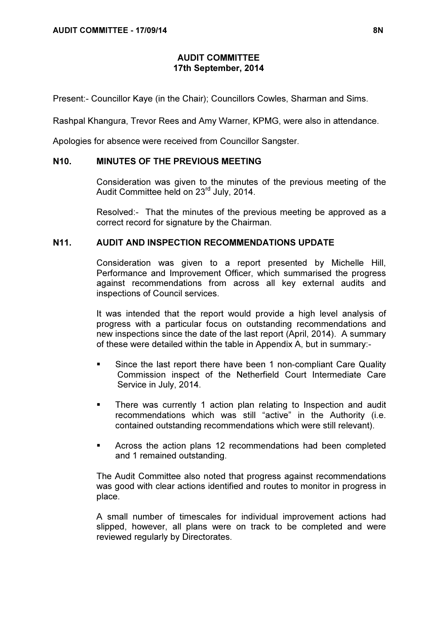# AUDIT COMMITTEE 17th September, 2014

Present:- Councillor Kaye (in the Chair); Councillors Cowles, Sharman and Sims.

Rashpal Khangura, Trevor Rees and Amy Warner, KPMG, were also in attendance.

Apologies for absence were received from Councillor Sangster.

#### N10. MINUTES OF THE PREVIOUS MEETING

 Consideration was given to the minutes of the previous meeting of the Audit Committee held on 23rd July, 2014.

Resolved:- That the minutes of the previous meeting be approved as a correct record for signature by the Chairman.

#### N11. AUDIT AND INSPECTION RECOMMENDATIONS UPDATE

 Consideration was given to a report presented by Michelle Hill, Performance and Improvement Officer, which summarised the progress against recommendations from across all key external audits and inspections of Council services.

It was intended that the report would provide a high level analysis of progress with a particular focus on outstanding recommendations and new inspections since the date of the last report (April, 2014). A summary of these were detailed within the table in Appendix A, but in summary:-

- Since the last report there have been 1 non-compliant Care Quality Commission inspect of the Netherfield Court Intermediate Care Service in July, 2014.
- There was currently 1 action plan relating to Inspection and audit recommendations which was still "active" in the Authority (i.e. contained outstanding recommendations which were still relevant).
- Across the action plans 12 recommendations had been completed and 1 remained outstanding.

The Audit Committee also noted that progress against recommendations was good with clear actions identified and routes to monitor in progress in place.

A small number of timescales for individual improvement actions had slipped, however, all plans were on track to be completed and were reviewed regularly by Directorates.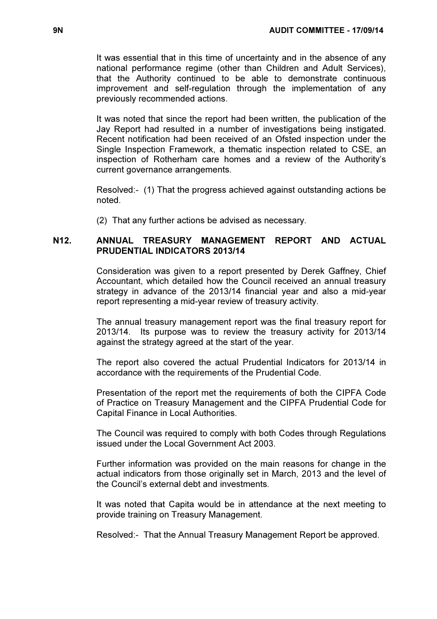It was essential that in this time of uncertainty and in the absence of any national performance regime (other than Children and Adult Services), that the Authority continued to be able to demonstrate continuous improvement and self-regulation through the implementation of any previously recommended actions.

It was noted that since the report had been written, the publication of the Jay Report had resulted in a number of investigations being instigated. Recent notification had been received of an Ofsted inspection under the Single Inspection Framework, a thematic inspection related to CSE, an inspection of Rotherham care homes and a review of the Authority's current governance arrangements.

Resolved:- (1) That the progress achieved against outstanding actions be noted.

(2) That any further actions be advised as necessary.

### N12. ANNUAL TREASURY MANAGEMENT REPORT AND ACTUAL PRUDENTIAL INDICATORS 2013/14

 Consideration was given to a report presented by Derek Gaffney, Chief Accountant, which detailed how the Council received an annual treasury strategy in advance of the 2013/14 financial year and also a mid-year report representing a mid-year review of treasury activity.

The annual treasury management report was the final treasury report for 2013/14. Its purpose was to review the treasury activity for 2013/14 against the strategy agreed at the start of the year.

The report also covered the actual Prudential Indicators for 2013/14 in accordance with the requirements of the Prudential Code.

Presentation of the report met the requirements of both the CIPFA Code of Practice on Treasury Management and the CIPFA Prudential Code for Capital Finance in Local Authorities.

The Council was required to comply with both Codes through Regulations issued under the Local Government Act 2003.

Further information was provided on the main reasons for change in the actual indicators from those originally set in March, 2013 and the level of the Council's external debt and investments.

It was noted that Capita would be in attendance at the next meeting to provide training on Treasury Management.

Resolved:- That the Annual Treasury Management Report be approved.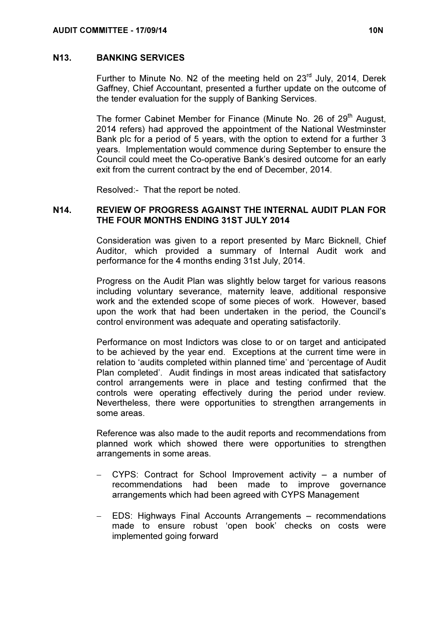#### N13. BANKING SERVICES

Further to Minute No. N2 of the meeting held on 23<sup>rd</sup> July, 2014, Derek Gaffney, Chief Accountant, presented a further update on the outcome of the tender evaluation for the supply of Banking Services.

The former Cabinet Member for Finance (Minute No. 26 of 29<sup>th</sup> August, 2014 refers) had approved the appointment of the National Westminster Bank plc for a period of 5 years, with the option to extend for a further 3 years. Implementation would commence during September to ensure the Council could meet the Co-operative Bank's desired outcome for an early exit from the current contract by the end of December, 2014.

Resolved:- That the report be noted.

### N14. REVIEW OF PROGRESS AGAINST THE INTERNAL AUDIT PLAN FOR THE FOUR MONTHS ENDING 31ST JULY 2014

 Consideration was given to a report presented by Marc Bicknell, Chief Auditor, which provided a summary of Internal Audit work and performance for the 4 months ending 31st July, 2014.

Progress on the Audit Plan was slightly below target for various reasons including voluntary severance, maternity leave, additional responsive work and the extended scope of some pieces of work. However, based upon the work that had been undertaken in the period, the Council's control environment was adequate and operating satisfactorily.

Performance on most Indictors was close to or on target and anticipated to be achieved by the year end. Exceptions at the current time were in relation to 'audits completed within planned time' and 'percentage of Audit Plan completed'. Audit findings in most areas indicated that satisfactory control arrangements were in place and testing confirmed that the controls were operating effectively during the period under review. Nevertheless, there were opportunities to strengthen arrangements in some areas.

Reference was also made to the audit reports and recommendations from planned work which showed there were opportunities to strengthen arrangements in some areas.

- − CYPS: Contract for School Improvement activity a number of recommendations had been made to improve governance arrangements which had been agreed with CYPS Management
- − EDS: Highways Final Accounts Arrangements recommendations made to ensure robust 'open book' checks on costs were implemented going forward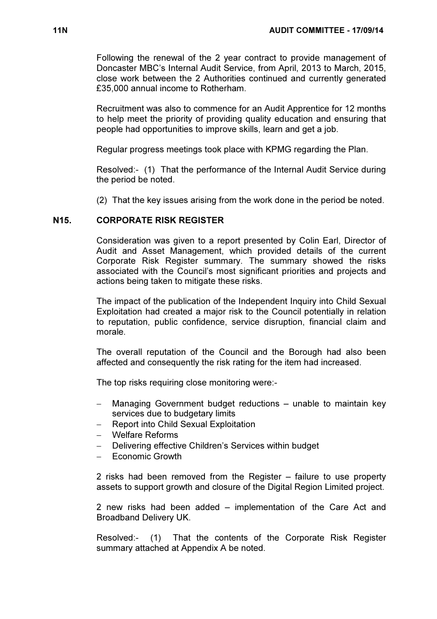Following the renewal of the 2 year contract to provide management of Doncaster MBC's Internal Audit Service, from April, 2013 to March, 2015, close work between the 2 Authorities continued and currently generated £35,000 annual income to Rotherham.

Recruitment was also to commence for an Audit Apprentice for 12 months to help meet the priority of providing quality education and ensuring that people had opportunities to improve skills, learn and get a job.

Regular progress meetings took place with KPMG regarding the Plan.

Resolved:- (1) That the performance of the Internal Audit Service during the period be noted.

(2) That the key issues arising from the work done in the period be noted.

### N15. CORPORATE RISK REGISTER

 Consideration was given to a report presented by Colin Earl, Director of Audit and Asset Management, which provided details of the current Corporate Risk Register summary. The summary showed the risks associated with the Council's most significant priorities and projects and actions being taken to mitigate these risks.

The impact of the publication of the Independent Inquiry into Child Sexual Exploitation had created a major risk to the Council potentially in relation to reputation, public confidence, service disruption, financial claim and morale.

The overall reputation of the Council and the Borough had also been affected and consequently the risk rating for the item had increased.

The top risks requiring close monitoring were:-

- Managing Government budget reductions unable to maintain key services due to budgetary limits
- − Report into Child Sexual Exploitation
- − Welfare Reforms
- − Delivering effective Children's Services within budget
- − Economic Growth

2 risks had been removed from the Register – failure to use property assets to support growth and closure of the Digital Region Limited project.

2 new risks had been added – implementation of the Care Act and Broadband Delivery UK.

Resolved:- (1) That the contents of the Corporate Risk Register summary attached at Appendix A be noted.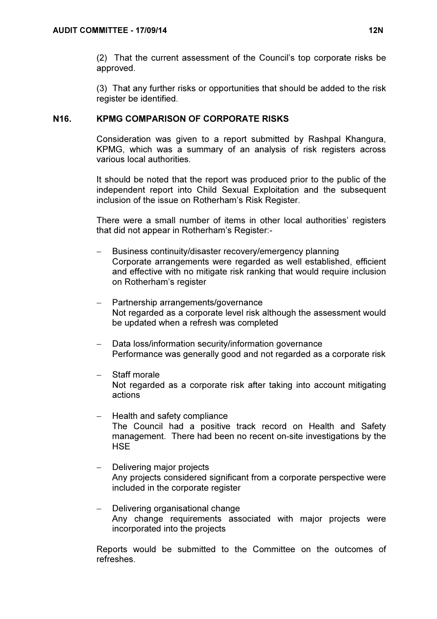(2) That the current assessment of the Council's top corporate risks be approved.

(3) That any further risks or opportunities that should be added to the risk register be identified.

### N16. KPMG COMPARISON OF CORPORATE RISKS

 Consideration was given to a report submitted by Rashpal Khangura, KPMG, which was a summary of an analysis of risk registers across various local authorities.

It should be noted that the report was produced prior to the public of the independent report into Child Sexual Exploitation and the subsequent inclusion of the issue on Rotherham's Risk Register.

There were a small number of items in other local authorities' registers that did not appear in Rotherham's Register:-

- Business continuity/disaster recovery/emergency planning Corporate arrangements were regarded as well established, efficient and effective with no mitigate risk ranking that would require inclusion on Rotherham's register
- − Partnership arrangements/governance Not regarded as a corporate level risk although the assessment would be updated when a refresh was completed
- Data loss/information security/information governance Performance was generally good and not regarded as a corporate risk
- − Staff morale Not regarded as a corporate risk after taking into account mitigating actions
- − Health and safety compliance The Council had a positive track record on Health and Safety management. There had been no recent on-site investigations by the **HSF**
- Delivering major projects Any projects considered significant from a corporate perspective were included in the corporate register
- − Delivering organisational change Any change requirements associated with major projects were incorporated into the projects

Reports would be submitted to the Committee on the outcomes of refreshes.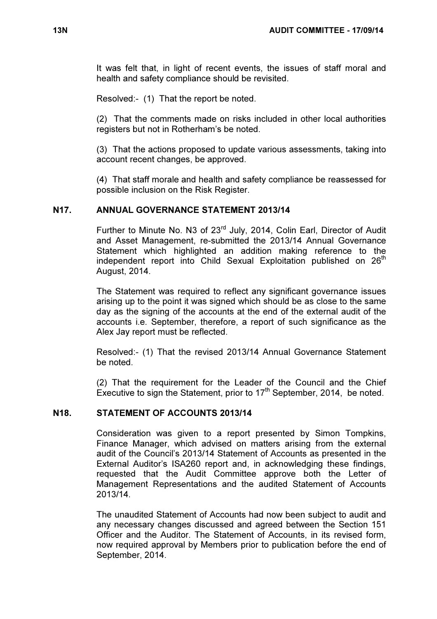It was felt that, in light of recent events, the issues of staff moral and health and safety compliance should be revisited.

Resolved:- (1) That the report be noted.

(2) That the comments made on risks included in other local authorities registers but not in Rotherham's be noted.

(3) That the actions proposed to update various assessments, taking into account recent changes, be approved.

(4) That staff morale and health and safety compliance be reassessed for possible inclusion on the Risk Register.

# N17. ANNUAL GOVERNANCE STATEMENT 2013/14

Further to Minute No. N3 of 23<sup>rd</sup> July, 2014, Colin Earl, Director of Audit and Asset Management, re-submitted the 2013/14 Annual Governance Statement which highlighted an addition making reference to the independent report into Child Sexual Exploitation published on 26<sup>th</sup> August, 2014.

The Statement was required to reflect any significant governance issues arising up to the point it was signed which should be as close to the same day as the signing of the accounts at the end of the external audit of the accounts i.e. September, therefore, a report of such significance as the Alex Jay report must be reflected.

Resolved:- (1) That the revised 2013/14 Annual Governance Statement be noted.

(2) That the requirement for the Leader of the Council and the Chief Executive to sign the Statement, prior to  $17<sup>th</sup>$  September, 2014, be noted.

#### N18. STATEMENT OF ACCOUNTS 2013/14

 Consideration was given to a report presented by Simon Tompkins, Finance Manager, which advised on matters arising from the external audit of the Council's 2013/14 Statement of Accounts as presented in the External Auditor's ISA260 report and, in acknowledging these findings, requested that the Audit Committee approve both the Letter of Management Representations and the audited Statement of Accounts 2013/14.

The unaudited Statement of Accounts had now been subject to audit and any necessary changes discussed and agreed between the Section 151 Officer and the Auditor. The Statement of Accounts, in its revised form, now required approval by Members prior to publication before the end of September, 2014.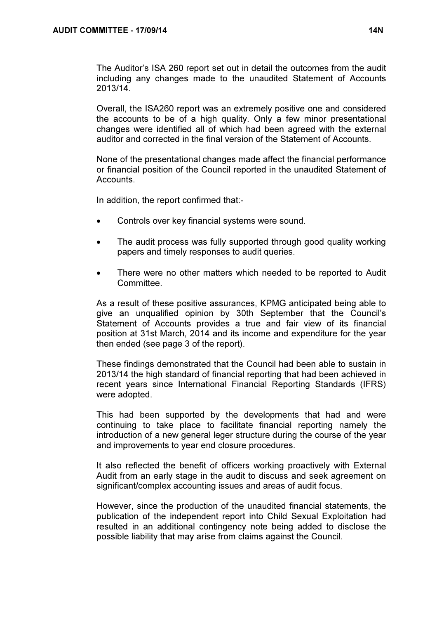The Auditor's ISA 260 report set out in detail the outcomes from the audit including any changes made to the unaudited Statement of Accounts 2013/14.

Overall, the ISA260 report was an extremely positive one and considered the accounts to be of a high quality. Only a few minor presentational changes were identified all of which had been agreed with the external auditor and corrected in the final version of the Statement of Accounts.

None of the presentational changes made affect the financial performance or financial position of the Council reported in the unaudited Statement of Accounts.

In addition, the report confirmed that:-

- Controls over key financial systems were sound.
- The audit process was fully supported through good quality working papers and timely responses to audit queries.
- There were no other matters which needed to be reported to Audit Committee.

As a result of these positive assurances, KPMG anticipated being able to give an unqualified opinion by 30th September that the Council's Statement of Accounts provides a true and fair view of its financial position at 31st March, 2014 and its income and expenditure for the year then ended (see page 3 of the report).

These findings demonstrated that the Council had been able to sustain in 2013/14 the high standard of financial reporting that had been achieved in recent years since International Financial Reporting Standards (IFRS) were adopted.

This had been supported by the developments that had and were continuing to take place to facilitate financial reporting namely the introduction of a new general leger structure during the course of the year and improvements to year end closure procedures.

It also reflected the benefit of officers working proactively with External Audit from an early stage in the audit to discuss and seek agreement on significant/complex accounting issues and areas of audit focus.

However, since the production of the unaudited financial statements, the publication of the independent report into Child Sexual Exploitation had resulted in an additional contingency note being added to disclose the possible liability that may arise from claims against the Council.